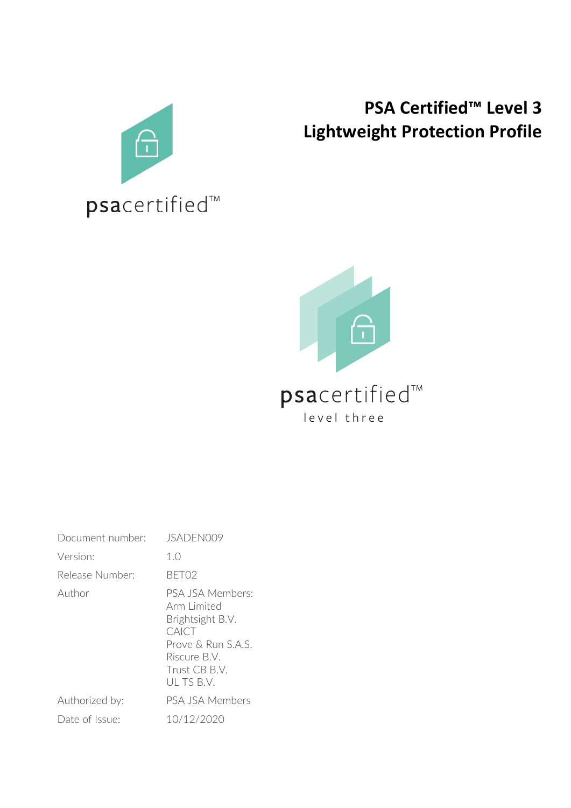

## **PSA Certified™ Level 3 Lightweight Protection Profile**



| Document number: | JSADEN009                                                                                                                      |
|------------------|--------------------------------------------------------------------------------------------------------------------------------|
| Version:         | 1. $\bigcirc$                                                                                                                  |
| Release Number:  | BFT02                                                                                                                          |
| Author           | PSA JSA Members:<br>Arm Limited<br>Brightsight B.V.<br>CAICT<br>Prove & Run S A S<br>Riscure B.V.<br>Trust CB B V<br>ULTS B.V. |
| Authorized by:   | PSA JSA Members                                                                                                                |
| Date of Issue:   | 10/12/2020                                                                                                                     |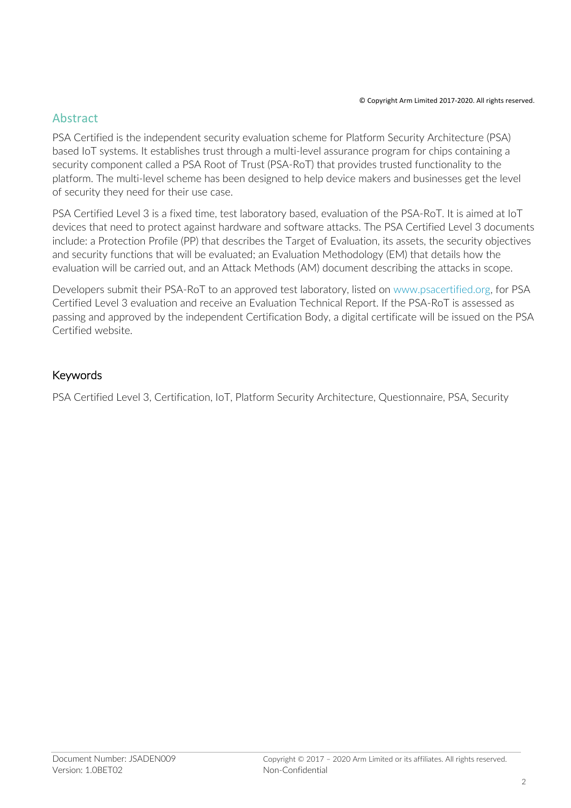#### Abstract

PSA Certified is the independent security evaluation scheme for Platform Security Architecture (PSA) based IoT systems. It establishes trust through a multi-level assurance program for chips containing a security component called a PSA Root of Trust (PSA-RoT) that provides trusted functionality to the platform. The multi-level scheme has been designed to help device makers and businesses get the level of security they need for their use case.

PSA Certified Level 3 is a fixed time, test laboratory based, evaluation of the PSA-RoT. It is aimed at IoT devices that need to protect against hardware and software attacks. The PSA Certified Level 3 documents include: a Protection Profile (PP) that describes the Target of Evaluation, its assets, the security objectives and security functions that will be evaluated; an Evaluation Methodology (EM) that details how the evaluation will be carried out, and an Attack Methods (AM) document describing the attacks in scope.

Developers submit their PSA-RoT to an approved test laboratory, listed on www.psacertified.org, for PSA Certified Level 3 evaluation and receive an Evaluation Technical Report. If the PSA-RoT is assessed as passing and approved by the independent Certification Body, a digital certificate will be issued on the PSA Certified website.

#### Keywords

PSA Certified Level 3, Certification, IoT, Platform Security Architecture, Questionnaire, PSA, Security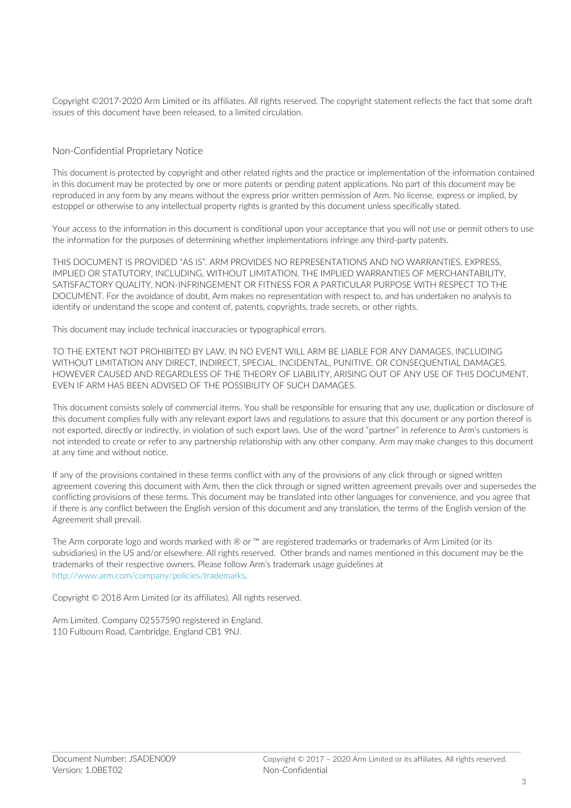Copyright ©2017-2020 Arm Limited or its affiliates. All rights reserved. The copyright statement reflects the fact that some draft issues of this document have been released, to a limited circulation.

#### Non-Confidential Proprietary Notice

This document is protected by copyright and other related rights and the practice or implementation of the information contained in this document may be protected by one or more patents or pending patent applications. No part of this document may be reproduced in any form by any means without the express prior written permission of Arm. No license, express or implied, by estoppel or otherwise to any intellectual property rights is granted by this document unless specifically stated.

Your access to the information in this document is conditional upon your acceptance that you will not use or permit others to use the information for the purposes of determining whether implementations infringe any third-party patents.

THIS DOCUMENT IS PROVIDED "AS IS". ARM PROVIDES NO REPRESENTATIONS AND NO WARRANTIES, EXPRESS, IMPLIED OR STATUTORY, INCLUDING, WITHOUT LIMITATION, THE IMPLIED WARRANTIES OF MERCHANTABILITY, SATISFACTORY QUALITY, NON-INFRINGEMENT OR FITNESS FOR A PARTICULAR PURPOSE WITH RESPECT TO THE DOCUMENT. For the avoidance of doubt, Arm makes no representation with respect to, and has undertaken no analysis to identify or understand the scope and content of, patents, copyrights, trade secrets, or other rights.

This document may include technical inaccuracies or typographical errors.

TO THE EXTENT NOT PROHIBITED BY LAW, IN NO EVENT WILL ARM BE LIABLE FOR ANY DAMAGES, INCLUDING WITHOUT LIMITATION ANY DIRECT, INDIRECT, SPECIAL, INCIDENTAL, PUNITIVE, OR CONSEQUENTIAL DAMAGES, HOWEVER CAUSED AND REGARDLESS OF THE THEORY OF LIABILITY, ARISING OUT OF ANY USE OF THIS DOCUMENT, EVEN IF ARM HAS BEEN ADVISED OF THE POSSIBILITY OF SUCH DAMAGES.

This document consists solely of commercial items. You shall be responsible for ensuring that any use, duplication or disclosure of this document complies fully with any relevant export laws and regulations to assure that this document or any portion thereof is not exported, directly or indirectly, in violation of such export laws. Use of the word "partner" in reference to Arm's customers is not intended to create or refer to any partnership relationship with any other company. Arm may make changes to this document at any time and without notice.

If any of the provisions contained in these terms conflict with any of the provisions of any click through or signed written agreement covering this document with Arm, then the click through or signed written agreement prevails over and supersedes the conflicting provisions of these terms. This document may be translated into other languages for convenience, and you agree that if there is any conflict between the English version of this document and any translation, the terms of the English version of the Agreement shall prevail.

The Arm corporate logo and words marked with ® or ™ are registered trademarks or trademarks of Arm Limited (or its subsidiaries) in the US and/or elsewhere. All rights reserved. Other brands and names mentioned in this document may be the trademarks of their respective owners. Please follow Arm's trademark usage guidelines at http://www.arm.com/company/policies/trademarks.

Copyright © 2018 Arm Limited (or its affiliates). All rights reserved.

Arm Limited. Company 02557590 registered in England. 110 Fulbourn Road, Cambridge, England CB1 9NJ.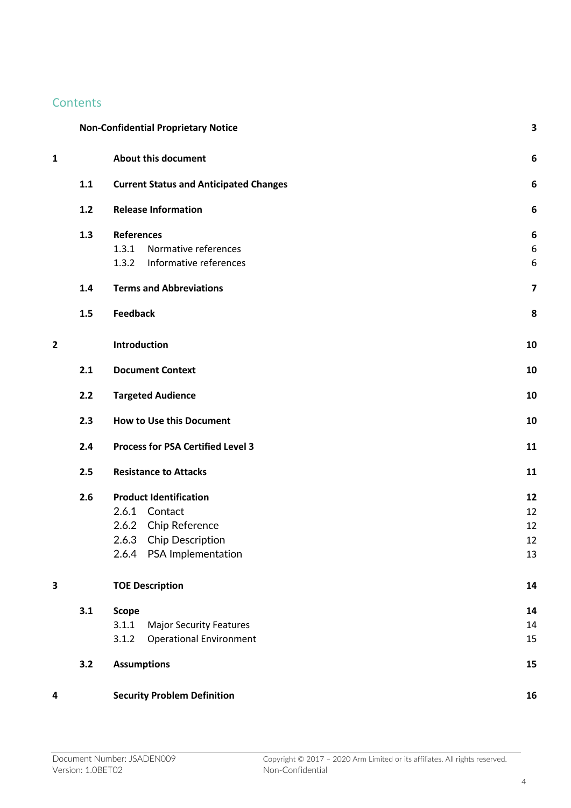## **Contents**

|   |     | <b>Non-Confidential Proprietary Notice</b>    | 3  |
|---|-----|-----------------------------------------------|----|
| 1 |     | <b>About this document</b>                    | 6  |
|   | 1.1 | <b>Current Status and Anticipated Changes</b> | 6  |
|   | 1.2 | <b>Release Information</b>                    | 6  |
|   | 1.3 | <b>References</b>                             | 6  |
|   |     | Normative references<br>1.3.1                 | 6  |
|   |     | Informative references<br>1.3.2               | 6  |
|   | 1.4 | <b>Terms and Abbreviations</b>                | 7  |
|   | 1.5 | <b>Feedback</b>                               | 8  |
| 2 |     | Introduction                                  | 10 |
|   | 2.1 | <b>Document Context</b>                       | 10 |
|   | 2.2 | <b>Targeted Audience</b>                      | 10 |
|   | 2.3 | <b>How to Use this Document</b>               | 10 |
|   | 2.4 | <b>Process for PSA Certified Level 3</b>      | 11 |
|   | 2.5 | <b>Resistance to Attacks</b>                  | 11 |
|   | 2.6 | <b>Product Identification</b>                 | 12 |
|   |     | 2.6.1 Contact                                 | 12 |
|   |     | 2.6.2 Chip Reference                          | 12 |
|   |     | 2.6.3<br>Chip Description                     | 12 |
|   |     | 2.6.4 PSA Implementation                      | 13 |
| 3 |     | <b>TOE Description</b>                        | 14 |
|   | 3.1 | <b>Scope</b>                                  | 14 |
|   |     | 3.1.1<br><b>Major Security Features</b>       | 14 |
|   |     | <b>Operational Environment</b><br>3.1.2       | 15 |
|   | 3.2 | <b>Assumptions</b>                            | 15 |
| 4 |     | <b>Security Problem Definition</b>            | 16 |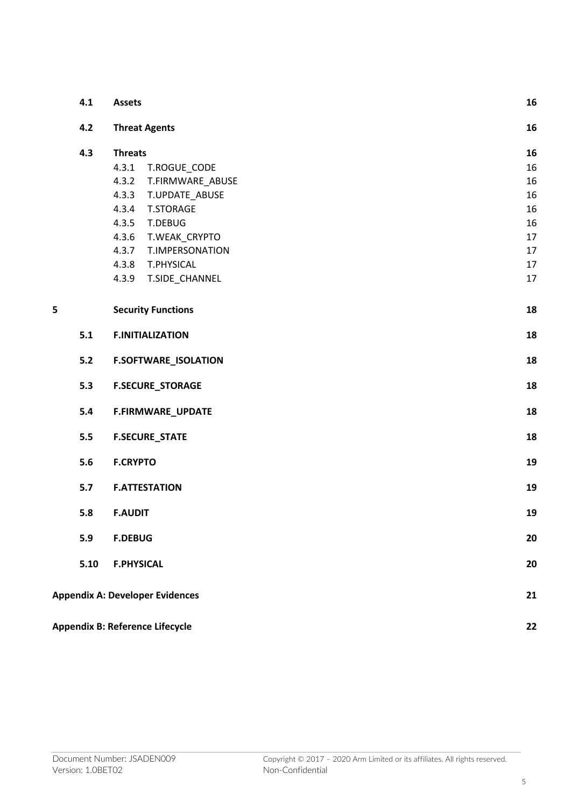|   | 4.1   | <b>Assets</b>                          |    |
|---|-------|----------------------------------------|----|
|   | 4.2   | <b>Threat Agents</b>                   |    |
|   | 4.3   | <b>Threats</b>                         | 16 |
|   |       | 4.3.1<br>T.ROGUE_CODE                  | 16 |
|   |       | 4.3.2<br>T.FIRMWARE_ABUSE              | 16 |
|   |       | 4.3.3<br>T.UPDATE_ABUSE                | 16 |
|   |       | 4.3.4<br><b>T.STORAGE</b>              | 16 |
|   |       | 4.3.5<br>T.DEBUG                       | 16 |
|   |       | 4.3.6<br>T.WEAK_CRYPTO                 | 17 |
|   |       | 4.3.7<br>T.IMPERSONATION               | 17 |
|   |       | 4.3.8<br>T.PHYSICAL                    | 17 |
|   |       | 4.3.9<br>T.SIDE_CHANNEL                | 17 |
| 5 |       | <b>Security Functions</b>              | 18 |
|   | 5.1   | <b>F.INITIALIZATION</b>                | 18 |
|   | $5.2$ | <b>F.SOFTWARE_ISOLATION</b>            | 18 |
|   | 5.3   | <b>F.SECURE_STORAGE</b>                | 18 |
|   | 5.4   | F.FIRMWARE_UPDATE                      |    |
|   | 5.5   | <b>F.SECURE_STATE</b>                  |    |
|   | 5.6   | <b>F.CRYPTO</b>                        |    |
|   | 5.7   | <b>F.ATTESTATION</b>                   |    |
|   | 5.8   | <b>F.AUDIT</b>                         |    |
|   | 5.9   | <b>F.DEBUG</b>                         | 20 |
|   | 5.10  | <b>F.PHYSICAL</b>                      |    |
|   |       | <b>Appendix A: Developer Evidences</b> | 21 |
|   |       | Appendix B: Reference Lifecycle        | 22 |
|   |       |                                        |    |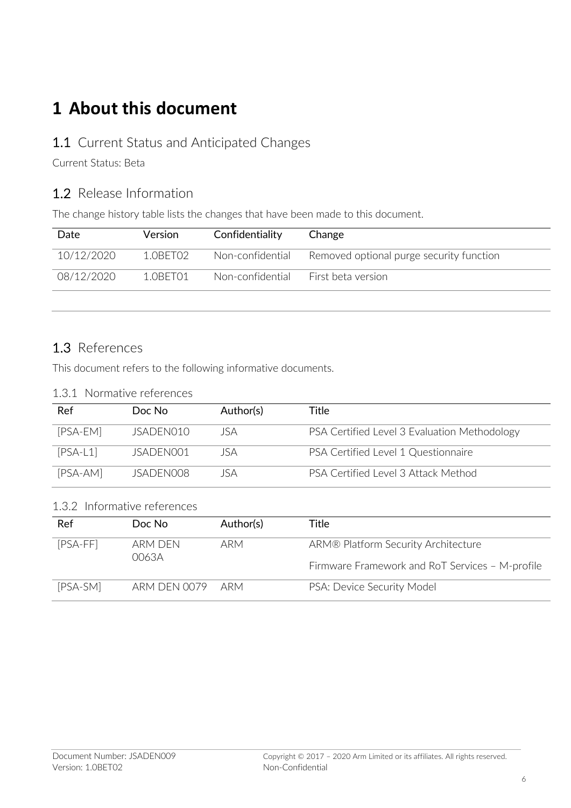## **1 About this document**

#### 1.1 Current Status and Anticipated Changes

Current Status: Beta

### 1.2 Release Information

The change history table lists the changes that have been made to this document.

| Date       | <b>Version</b> | Confidentiality  | Change                                   |
|------------|----------------|------------------|------------------------------------------|
| 10/12/2020 | 1 OBET02       | Non-confidential | Removed optional purge security function |
| 08/12/2020 | 1 OBET01       | Non-confidential | First beta version                       |

#### 1.3 References

This document refers to the following informative documents.

| 1.3.1 Normative references |
|----------------------------|
|                            |

| Ref        | Doc No    | Author(s) | Title                                        |
|------------|-----------|-----------|----------------------------------------------|
| [PSA-EM]   | JSADEN010 | JSA       | PSA Certified Level 3 Evaluation Methodology |
| $[PSA-L1]$ | ISADEN001 | JSA       | PSA Certified Level 1 Questionnaire          |
| [PSA-AM]   | ISADEN008 | JSA       | PSA Certified Level 3 Attack Method          |

#### 1.3.2 Informative references

| Ref        | Doc No           | Author(s) | Title                                           |
|------------|------------------|-----------|-------------------------------------------------|
| $[PSA-FF]$ | arm den<br>0063A | ARM       | ARM® Platform Security Architecture             |
|            |                  |           | Firmware Framework and RoT Services - M-profile |
| [PSA-SM]   | ARM DEN 0079 ARM |           | PSA: Device Security Model                      |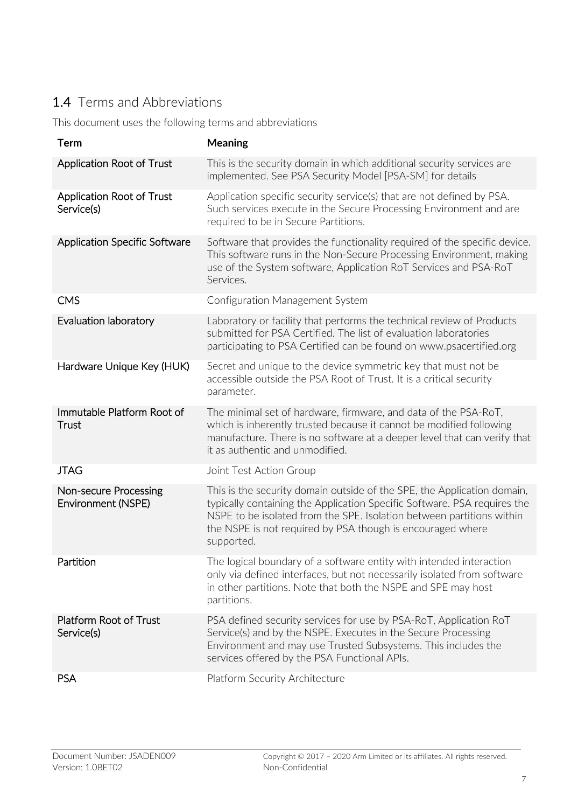## 1.4 Terms and Abbreviations

This document uses the following terms and abbreviations

| <b>Term</b>                                 | <b>Meaning</b>                                                                                                                                                                                                                                                                                           |
|---------------------------------------------|----------------------------------------------------------------------------------------------------------------------------------------------------------------------------------------------------------------------------------------------------------------------------------------------------------|
| Application Root of Trust                   | This is the security domain in which additional security services are<br>implemented. See PSA Security Model [PSA-SM] for details                                                                                                                                                                        |
| Application Root of Trust<br>Service(s)     | Application specific security service(s) that are not defined by PSA.<br>Such services execute in the Secure Processing Environment and are<br>required to be in Secure Partitions.                                                                                                                      |
| Application Specific Software               | Software that provides the functionality required of the specific device.<br>This software runs in the Non-Secure Processing Environment, making<br>use of the System software, Application RoT Services and PSA-RoT<br>Services.                                                                        |
| <b>CMS</b>                                  | Configuration Management System                                                                                                                                                                                                                                                                          |
| Evaluation laboratory                       | Laboratory or facility that performs the technical review of Products<br>submitted for PSA Certified. The list of evaluation laboratories<br>participating to PSA Certified can be found on www.psacertified.org                                                                                         |
| Hardware Unique Key (HUK)                   | Secret and unique to the device symmetric key that must not be<br>accessible outside the PSA Root of Trust. It is a critical security<br>parameter.                                                                                                                                                      |
| Immutable Platform Root of<br>Trust         | The minimal set of hardware, firmware, and data of the PSA-RoT,<br>which is inherently trusted because it cannot be modified following<br>manufacture. There is no software at a deeper level that can verify that<br>it as authentic and unmodified.                                                    |
| <b>JTAG</b>                                 | Joint Test Action Group                                                                                                                                                                                                                                                                                  |
| Non-secure Processing<br>Environment (NSPE) | This is the security domain outside of the SPE, the Application domain,<br>typically containing the Application Specific Software. PSA requires the<br>NSPE to be isolated from the SPE. Isolation between partitions within<br>the NSPE is not required by PSA though is encouraged where<br>supported. |
| Partition                                   | The logical boundary of a software entity with intended interaction<br>only via defined interfaces, but not necessarily isolated from software<br>in other partitions. Note that both the NSPE and SPE may host<br>partitions.                                                                           |
| Platform Root of Trust<br>Service(s)        | PSA defined security services for use by PSA-RoT, Application RoT<br>Service(s) and by the NSPE. Executes in the Secure Processing<br>Environment and may use Trusted Subsystems. This includes the<br>services offered by the PSA Functional APIs.                                                      |
| <b>PSA</b>                                  | Platform Security Architecture                                                                                                                                                                                                                                                                           |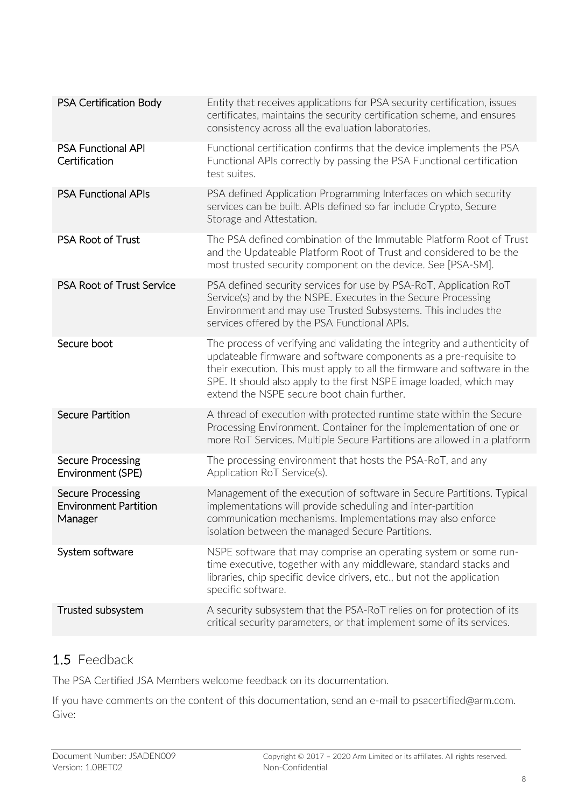| PSA Certification Body                                              | Entity that receives applications for PSA security certification, issues<br>certificates, maintains the security certification scheme, and ensures<br>consistency across all the evaluation laboratories.                                                                                                                                       |
|---------------------------------------------------------------------|-------------------------------------------------------------------------------------------------------------------------------------------------------------------------------------------------------------------------------------------------------------------------------------------------------------------------------------------------|
| <b>PSA Functional API</b><br>Certification                          | Functional certification confirms that the device implements the PSA<br>Functional APIs correctly by passing the PSA Functional certification<br>test suites.                                                                                                                                                                                   |
| <b>PSA Functional APIs</b>                                          | PSA defined Application Programming Interfaces on which security<br>services can be built. APIs defined so far include Crypto, Secure<br>Storage and Attestation.                                                                                                                                                                               |
| PSA Root of Trust                                                   | The PSA defined combination of the Immutable Platform Root of Trust<br>and the Updateable Platform Root of Trust and considered to be the<br>most trusted security component on the device. See [PSA-SM].                                                                                                                                       |
| <b>PSA Root of Trust Service</b>                                    | PSA defined security services for use by PSA-RoT, Application RoT<br>Service(s) and by the NSPE. Executes in the Secure Processing<br>Environment and may use Trusted Subsystems. This includes the<br>services offered by the PSA Functional APIs.                                                                                             |
| Secure boot                                                         | The process of verifying and validating the integrity and authenticity of<br>updateable firmware and software components as a pre-requisite to<br>their execution. This must apply to all the firmware and software in the<br>SPE. It should also apply to the first NSPE image loaded, which may<br>extend the NSPE secure boot chain further. |
| <b>Secure Partition</b>                                             | A thread of execution with protected runtime state within the Secure<br>Processing Environment. Container for the implementation of one or<br>more RoT Services. Multiple Secure Partitions are allowed in a platform                                                                                                                           |
| <b>Secure Processing</b><br>Environment (SPE)                       | The processing environment that hosts the PSA-RoT, and any<br>Application RoT Service(s).                                                                                                                                                                                                                                                       |
| <b>Secure Processing</b><br><b>Environment Partition</b><br>Manager | Management of the execution of software in Secure Partitions. Typical<br>implementations will provide scheduling and inter-partition<br>communication mechanisms. Implementations may also enforce<br>isolation between the managed Secure Partitions.                                                                                          |
| System software                                                     | NSPE software that may comprise an operating system or some run-<br>time executive, together with any middleware, standard stacks and<br>libraries, chip specific device drivers, etc., but not the application<br>specific software.                                                                                                           |
| Trusted subsystem                                                   | A security subsystem that the PSA-RoT relies on for protection of its<br>critical security parameters, or that implement some of its services.                                                                                                                                                                                                  |
|                                                                     |                                                                                                                                                                                                                                                                                                                                                 |

## 1.5 Feedback

The PSA Certified JSA Members welcome feedback on its documentation.

If you have comments on the content of this documentation, send an e-mail to psacertified@arm.com. Give: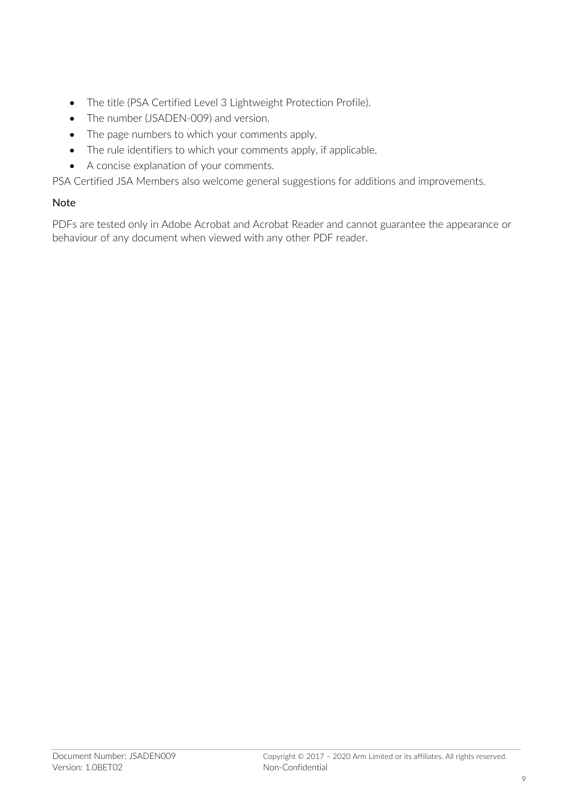- The title (PSA Certified Level 3 Lightweight Protection Profile).
- The number (JSADEN-009) and version.
- The page numbers to which your comments apply.
- The rule identifiers to which your comments apply, if applicable.
- A concise explanation of your comments.

PSA Certified JSA Members also welcome general suggestions for additions and improvements.

#### Note

PDFs are tested only in Adobe Acrobat and Acrobat Reader and cannot guarantee the appearance or behaviour of any document when viewed with any other PDF reader.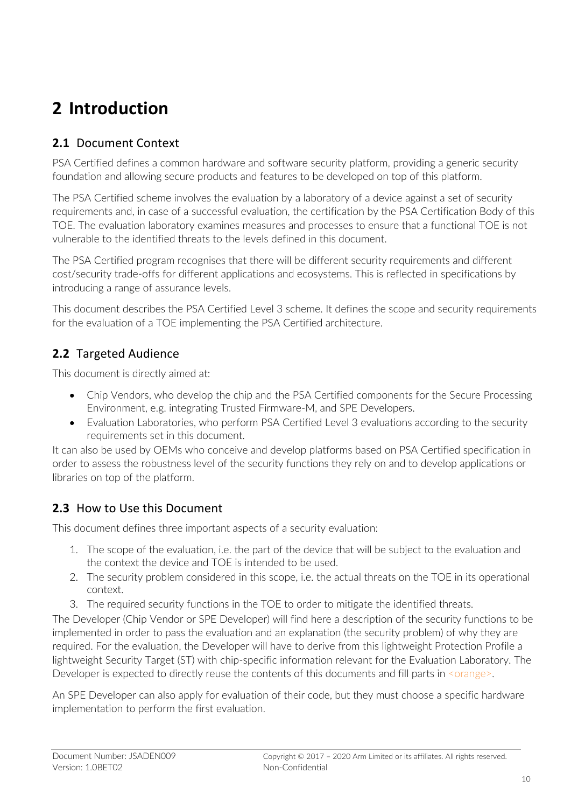# **2 Introduction**

## **2.1** Document Context

PSA Certified defines a common hardware and software security platform, providing a generic security foundation and allowing secure products and features to be developed on top of this platform.

The PSA Certified scheme involves the evaluation by a laboratory of a device against a set of security requirements and, in case of a successful evaluation, the certification by the PSA Certification Body of this TOE. The evaluation laboratory examines measures and processes to ensure that a functional TOE is not vulnerable to the identified threats to the levels defined in this document.

The PSA Certified program recognises that there will be different security requirements and different cost/security trade-offs for different applications and ecosystems. This is reflected in specifications by introducing a range of assurance levels.

This document describes the PSA Certified Level 3 scheme. It defines the scope and security requirements for the evaluation of a TOE implementing the PSA Certified architecture.

## **2.2** Targeted Audience

This document is directly aimed at:

- Chip Vendors, who develop the chip and the PSA Certified components for the Secure Processing Environment, e.g. integrating Trusted Firmware-M, and SPE Developers.
- Evaluation Laboratories, who perform PSA Certified Level 3 evaluations according to the security requirements set in this document.

It can also be used by OEMs who conceive and develop platforms based on PSA Certified specification in order to assess the robustness level of the security functions they rely on and to develop applications or libraries on top of the platform.

### **2.3** How to Use this Document

This document defines three important aspects of a security evaluation:

- 1. The scope of the evaluation, i.e. the part of the device that will be subject to the evaluation and the context the device and TOE is intended to be used.
- 2. The security problem considered in this scope, i.e. the actual threats on the TOE in its operational context.
- 3. The required security functions in the TOE to order to mitigate the identified threats.

The Developer (Chip Vendor or SPE Developer) will find here a description of the security functions to be implemented in order to pass the evaluation and an explanation (the security problem) of why they are required. For the evaluation, the Developer will have to derive from this lightweight Protection Profile a lightweight Security Target (ST) with chip-specific information relevant for the Evaluation Laboratory. The Developer is expected to directly reuse the contents of this documents and fill parts in <orange>.

An SPE Developer can also apply for evaluation of their code, but they must choose a specific hardware implementation to perform the first evaluation.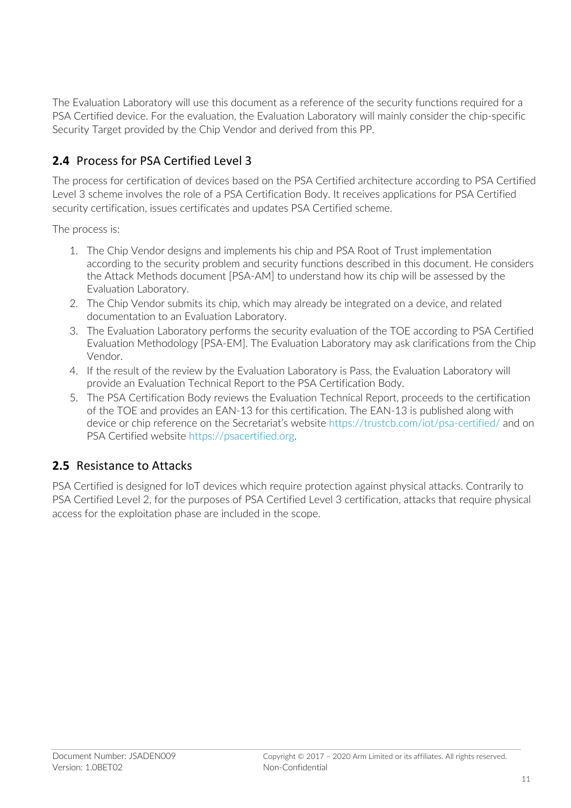The Evaluation Laboratory will use this document as a reference of the security functions required for a PSA Certified device. For the evaluation, the Evaluation Laboratory will mainly consider the chip-specific Security Target provided by the Chip Vendor and derived from this PP.

## **2.4** Process for PSA Certified Level 3

The process for certification of devices based on the PSA Certified architecture according to PSA Certified Level 3 scheme involves the role of a PSA Certification Body. It receives applications for PSA Certified security certification, issues certificates and updates PSA Certified scheme.

The process is:

- 1. The Chip Vendor designs and implements his chip and PSA Root of Trust implementation according to the security problem and security functions described in this document. He considers the Attack Methods document [PSA-AM] to understand how its chip will be assessed by the Evaluation Laboratory.
- 2. The Chip Vendor submits its chip, which may already be integrated on a device, and related documentation to an Evaluation Laboratory.
- 3. The Evaluation Laboratory performs the security evaluation of the TOE according to PSA Certified Evaluation Methodology [PSA-EM]. The Evaluation Laboratory may ask clarifications from the Chip Vendor.
- 4. If the result of the review by the Evaluation Laboratory is Pass, the Evaluation Laboratory will provide an Evaluation Technical Report to the PSA Certification Body.
- 5. The PSA Certification Body reviews the Evaluation Technical Report, proceeds to the certification of the TOE and provides an EAN-13 for this certification. The EAN-13 is published along with device or chip reference on the Secretariat's website https://trustcb.com/iot/psa-certified/ and on PSA Certified website https://psacertified.org.

#### **2.5** Resistance to Attacks

PSA Certified is designed for IoT devices which require protection against physical attacks. Contrarily to PSA Certified Level 2, for the purposes of PSA Certified Level 3 certification, attacks that require physical access for the exploitation phase are included in the scope.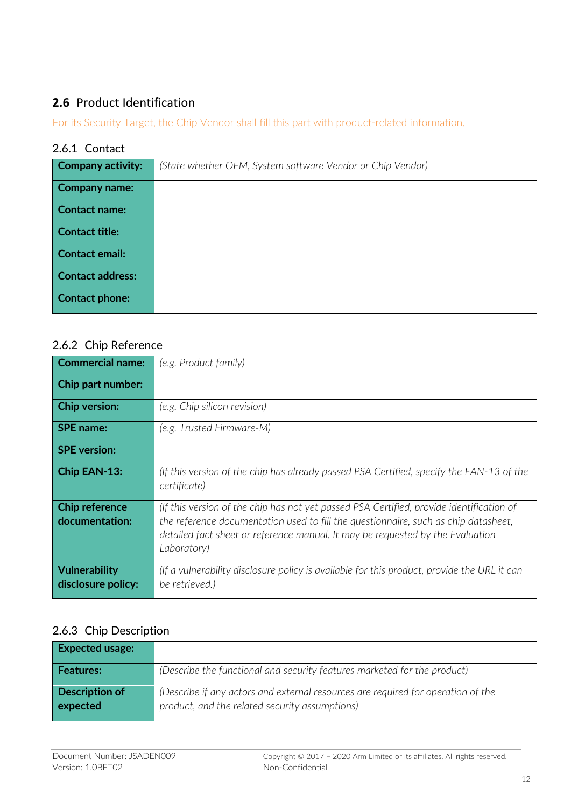## **2.6** Product Identification

For its Security Target, the Chip Vendor shall fill this part with product-related information.

#### 2.6.1 Contact

| <b>Company activity:</b> | (State whether OEM, System software Vendor or Chip Vendor) |
|--------------------------|------------------------------------------------------------|
| <b>Company name:</b>     |                                                            |
| <b>Contact name:</b>     |                                                            |
| <b>Contact title:</b>    |                                                            |
| <b>Contact email:</b>    |                                                            |
| <b>Contact address:</b>  |                                                            |
| <b>Contact phone:</b>    |                                                            |

#### 2.6.2 Chip Reference

| <b>Commercial name:</b>                 | (e.g. Product family)                                                                                                                                                                                                                                                            |
|-----------------------------------------|----------------------------------------------------------------------------------------------------------------------------------------------------------------------------------------------------------------------------------------------------------------------------------|
| <b>Chip part number:</b>                |                                                                                                                                                                                                                                                                                  |
| <b>Chip version:</b>                    | (e.g. Chip silicon revision)                                                                                                                                                                                                                                                     |
| <b>SPE</b> name:                        | (e.g. Trusted Firmware-M)                                                                                                                                                                                                                                                        |
| <b>SPE</b> version:                     |                                                                                                                                                                                                                                                                                  |
| Chip EAN-13:                            | (If this version of the chip has already passed PSA Certified, specify the EAN-13 of the<br>certificate)                                                                                                                                                                         |
| <b>Chip reference</b><br>documentation: | (If this version of the chip has not yet passed PSA Certified, provide identification of<br>the reference documentation used to fill the questionnaire, such as chip datasheet,<br>detailed fact sheet or reference manual. It may be requested by the Evaluation<br>Laboratory) |
| Vulnerability<br>disclosure policy:     | (If a vulnerability disclosure policy is available for this product, provide the URL it can<br>be retrieved.)                                                                                                                                                                    |

## 2.6.3 Chip Description

| <b>Expected usage:</b>            |                                                                                                                                    |
|-----------------------------------|------------------------------------------------------------------------------------------------------------------------------------|
| Features:                         | (Describe the functional and security features marketed for the product)                                                           |
| <b>Description of</b><br>expected | (Describe if any actors and external resources are required for operation of the<br>product, and the related security assumptions) |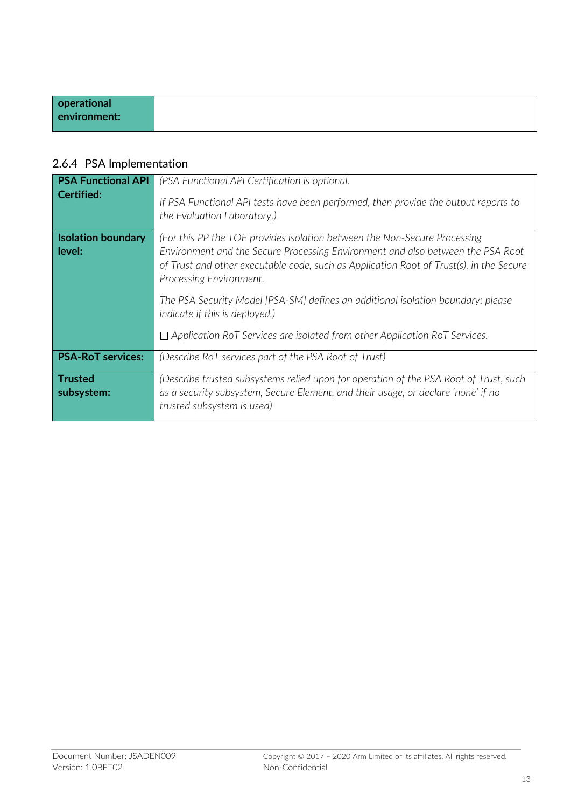| operational  |
|--------------|
| environment: |
|              |

## 2.6.4 PSA Implementation

| <b>PSA Functional API</b><br><b>Certified:</b> | (PSA Functional API Certification is optional.<br>If PSA Functional API tests have been performed, then provide the output reports to<br>the Evaluation Laboratory.)                                                                                                                                                                                                                                                                                                                           |
|------------------------------------------------|------------------------------------------------------------------------------------------------------------------------------------------------------------------------------------------------------------------------------------------------------------------------------------------------------------------------------------------------------------------------------------------------------------------------------------------------------------------------------------------------|
| <b>Isolation boundary</b><br>level:            | (For this PP the TOE provides isolation between the Non-Secure Processing)<br>Environment and the Secure Processing Environment and also between the PSA Root<br>of Trust and other executable code, such as Application Root of Trust(s), in the Secure<br>Processing Environment.<br>The PSA Security Model [PSA-SM] defines an additional isolation boundary; please<br>indicate if this is deployed.)<br>$\Box$ Application RoT Services are isolated from other Application RoT Services. |
| <b>PSA-RoT services:</b>                       | (Describe RoT services part of the PSA Root of Trust)                                                                                                                                                                                                                                                                                                                                                                                                                                          |
| <b>Trusted</b><br>subsystem:                   | (Describe trusted subsystems relied upon for operation of the PSA Root of Trust, such<br>as a security subsystem, Secure Element, and their usage, or declare 'none' if no<br>trusted subsystem is used)                                                                                                                                                                                                                                                                                       |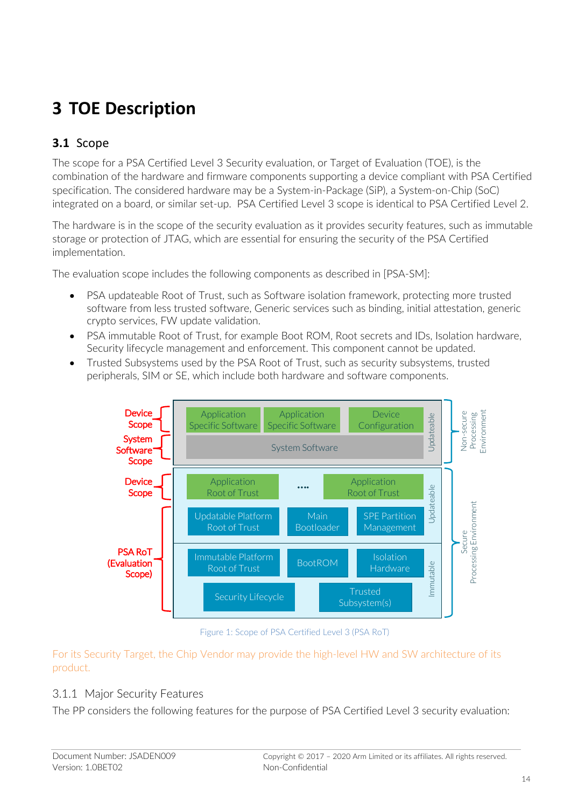# **3 TOE Description**

## **3.1** Scope

The scope for a PSA Certified Level 3 Security evaluation, or Target of Evaluation (TOE), is the combination of the hardware and firmware components supporting a device compliant with PSA Certified specification. The considered hardware may be a System-in-Package (SiP), a System-on-Chip (SoC) integrated on a board, or similar set-up. PSA Certified Level 3 scope is identical to PSA Certified Level 2.

The hardware is in the scope of the security evaluation as it provides security features, such as immutable storage or protection of JTAG, which are essential for ensuring the security of the PSA Certified implementation.

The evaluation scope includes the following components as described in [PSA-SM]:

- PSA updateable Root of Trust, such as Software isolation framework, protecting more trusted software from less trusted software, Generic services such as binding, initial attestation, generic crypto services, FW update validation.
- PSA immutable Root of Trust, for example Boot ROM, Root secrets and IDs, Isolation hardware, Security lifecycle management and enforcement. This component cannot be updated.
- Trusted Subsystems used by the PSA Root of Trust, such as security subsystems, trusted peripherals, SIM or SE, which include both hardware and software components.



Figure 1: Scope of PSA Certified Level 3 (PSA RoT)

For its Security Target, the Chip Vendor may provide the high-level HW and SW architecture of its product.

#### 3.1.1 Major Security Features

The PP considers the following features for the purpose of PSA Certified Level 3 security evaluation: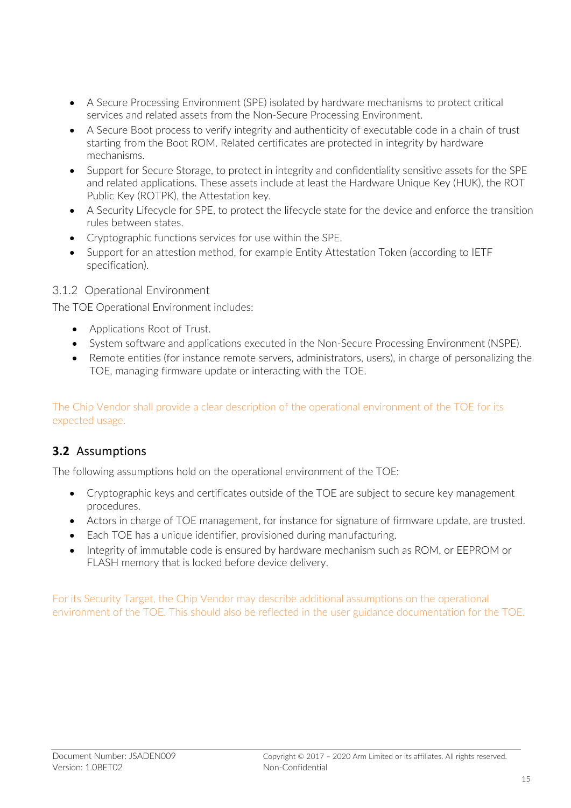- A Secure Processing Environment (SPE) isolated by hardware mechanisms to protect critical services and related assets from the Non-Secure Processing Environment.
- A Secure Boot process to verify integrity and authenticity of executable code in a chain of trust starting from the Boot ROM. Related certificates are protected in integrity by hardware mechanisms.
- Support for Secure Storage, to protect in integrity and confidentiality sensitive assets for the SPE and related applications. These assets include at least the Hardware Unique Key (HUK), the ROT Public Key (ROTPK), the Attestation key.
- A Security Lifecycle for SPE, to protect the lifecycle state for the device and enforce the transition rules between states.
- Cryptographic functions services for use within the SPE.
- Support for an attestion method, for example Entity Attestation Token (according to IETF specification).

#### 3.1.2 Operational Environment

The TOE Operational Environment includes:

- Applications Root of Trust.
- System software and applications executed in the Non-Secure Processing Environment (NSPE).
- Remote entities (for instance remote servers, administrators, users), in charge of personalizing the TOE, managing firmware update or interacting with the TOE.

The Chip Vendor shall provide a clear description of the operational environment of the TOE for its expected usage.

#### **3.2** Assumptions

The following assumptions hold on the operational environment of the TOE:

- Cryptographic keys and certificates outside of the TOE are subject to secure key management procedures.
- Actors in charge of TOE management, for instance for signature of firmware update, are trusted.
- Each TOE has a unique identifier, provisioned during manufacturing.
- Integrity of immutable code is ensured by hardware mechanism such as ROM, or EEPROM or FLASH memory that is locked before device delivery.

For its Security Target, the Chip Vendor may describe additional assumptions on the operational environment of the TOE. This should also be reflected in the user guidance documentation for the TOE.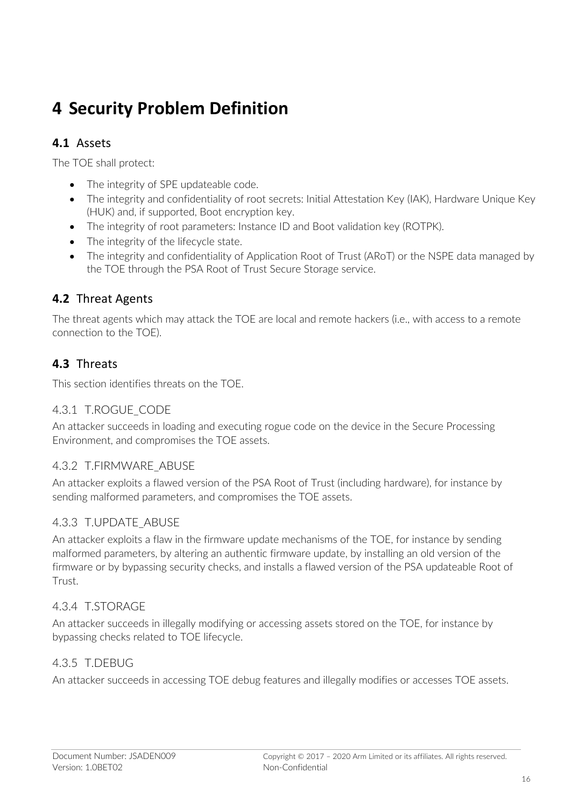## **4 Security Problem Definition**

#### **4.1** Assets

The TOE shall protect:

- The integrity of SPE updateable code.
- The integrity and confidentiality of root secrets: Initial Attestation Key (IAK), Hardware Unique Key (HUK) and, if supported, Boot encryption key.
- The integrity of root parameters: Instance ID and Boot validation key (ROTPK).
- The integrity of the lifecycle state.
- The integrity and confidentiality of Application Root of Trust (ARoT) or the NSPE data managed by the TOE through the PSA Root of Trust Secure Storage service.

#### **4.2** Threat Agents

The threat agents which may attack the TOE are local and remote hackers (i.e., with access to a remote connection to the TOE).

### **4.3** Threats

This section identifies threats on the TOE.

#### 4.3.1 T.ROGUE CODE

An attacker succeeds in loading and executing rogue code on the device in the Secure Processing Environment, and compromises the TOE assets.

#### 4.3.2 T.FIRMWARE\_ABUSE

An attacker exploits a flawed version of the PSA Root of Trust (including hardware), for instance by sending malformed parameters, and compromises the TOE assets.

#### 4.3.3 T.UPDATE\_ABUSE

An attacker exploits a flaw in the firmware update mechanisms of the TOE, for instance by sending malformed parameters, by altering an authentic firmware update, by installing an old version of the firmware or by bypassing security checks, and installs a flawed version of the PSA updateable Root of Trust.

#### 4.3.4 T.STORAGE

An attacker succeeds in illegally modifying or accessing assets stored on the TOE, for instance by bypassing checks related to TOE lifecycle.

#### 4.3.5 T.DEBUG

An attacker succeeds in accessing TOE debug features and illegally modifies or accesses TOE assets.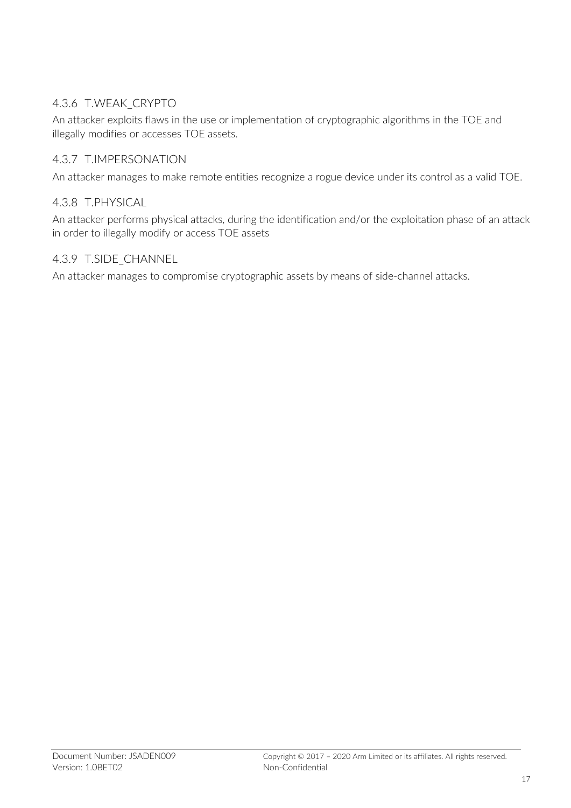#### 4.3.6 T.WEAK\_CRYPTO

An attacker exploits flaws in the use or implementation of cryptographic algorithms in the TOE and illegally modifies or accesses TOE assets.

#### 4.3.7 T.IMPERSONATION

An attacker manages to make remote entities recognize a rogue device under its control as a valid TOE.

#### 4.3.8 T.PHYSICAL

An attacker performs physical attacks, during the identification and/or the exploitation phase of an attack in order to illegally modify or access TOE assets

#### 4.3.9 T.SIDE\_CHANNEL

An attacker manages to compromise cryptographic assets by means of side-channel attacks.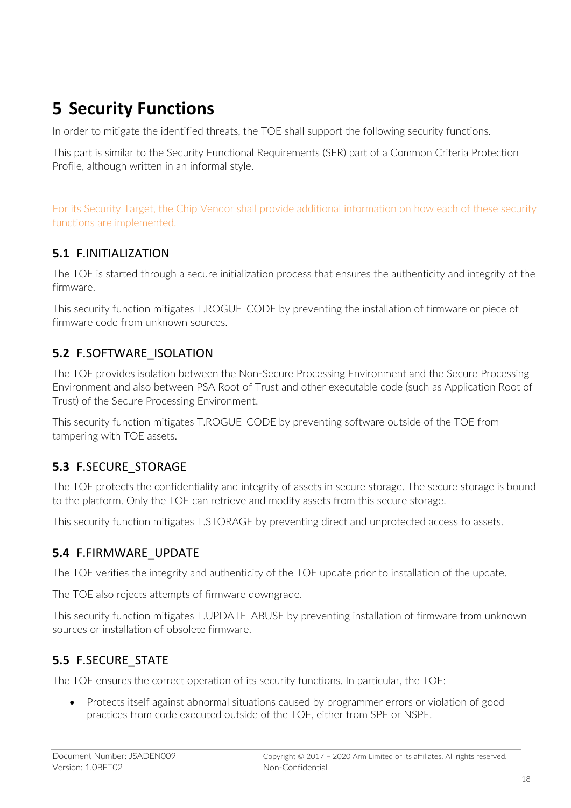# **5 Security Functions**

In order to mitigate the identified threats, the TOE shall support the following security functions.

This part is similar to the Security Functional Requirements (SFR) part of a Common Criteria Protection Profile, although written in an informal style.

For its Security Target, the Chip Vendor shall provide additional information on how each of these security functions are implemented.

### **5.1** F.INITIALIZATION

The TOE is started through a secure initialization process that ensures the authenticity and integrity of the firmware.

This security function mitigates T.ROGUE\_CODE by preventing the installation of firmware or piece of firmware code from unknown sources.

### **5.2** F.SOFTWARE\_ISOLATION

The TOE provides isolation between the Non-Secure Processing Environment and the Secure Processing Environment and also between PSA Root of Trust and other executable code (such as Application Root of Trust) of the Secure Processing Environment.

This security function mitigates T.ROGUE\_CODE by preventing software outside of the TOE from tampering with TOE assets.

### **5.3** F.SECURE\_STORAGE

The TOE protects the confidentiality and integrity of assets in secure storage. The secure storage is bound to the platform. Only the TOE can retrieve and modify assets from this secure storage.

This security function mitigates T.STORAGE by preventing direct and unprotected access to assets.

### **5.4** F.FIRMWARE\_UPDATE

The TOE verifies the integrity and authenticity of the TOE update prior to installation of the update.

The TOE also rejects attempts of firmware downgrade.

This security function mitigates T.UPDATE\_ABUSE by preventing installation of firmware from unknown sources or installation of obsolete firmware.

### **5.5** F.SECURE\_STATE

The TOE ensures the correct operation of its security functions. In particular, the TOE:

• Protects itself against abnormal situations caused by programmer errors or violation of good practices from code executed outside of the TOE, either from SPE or NSPE.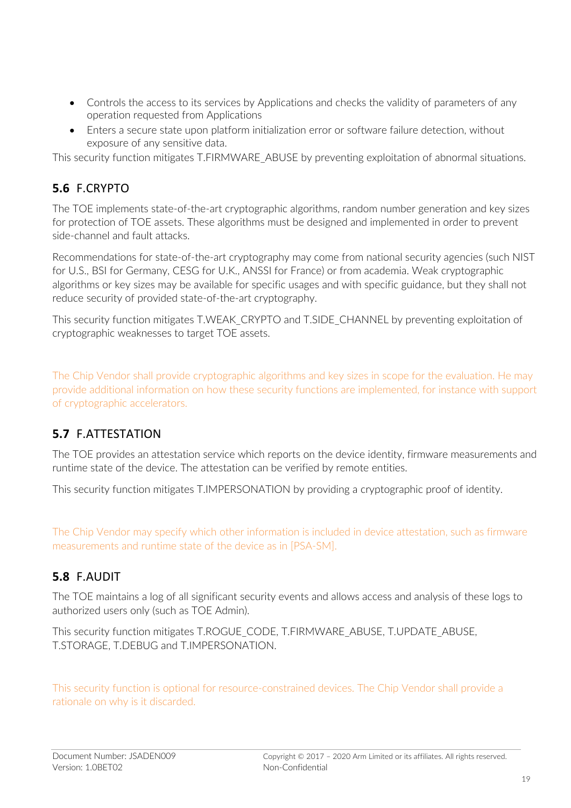- Controls the access to its services by Applications and checks the validity of parameters of any operation requested from Applications
- Enters a secure state upon platform initialization error or software failure detection, without exposure of any sensitive data.

This security function mitigates T.FIRMWARE\_ABUSE by preventing exploitation of abnormal situations.

## **5.6** F.CRYPTO

The TOE implements state-of-the-art cryptographic algorithms, random number generation and key sizes for protection of TOE assets. These algorithms must be designed and implemented in order to prevent side-channel and fault attacks.

Recommendations for state-of-the-art cryptography may come from national security agencies (such NIST for U.S., BSI for Germany, CESG for U.K., ANSSI for France) or from academia. Weak cryptographic algorithms or key sizes may be available for specific usages and with specific guidance, but they shall not reduce security of provided state-of-the-art cryptography.

This security function mitigates T.WEAK\_CRYPTO and T.SIDE\_CHANNEL by preventing exploitation of cryptographic weaknesses to target TOE assets.

The Chip Vendor shall provide cryptographic algorithms and key sizes in scope for the evaluation. He may provide additional information on how these security functions are implemented, for instance with support of cryptographic accelerators.

### **5.7** F.ATTESTATION

The TOE provides an attestation service which reports on the device identity, firmware measurements and runtime state of the device. The attestation can be verified by remote entities.

This security function mitigates T.IMPERSONATION by providing a cryptographic proof of identity.

The Chip Vendor may specify which other information is included in device attestation, such as firmware measurements and runtime state of the device as in [PSA-SM].

### **5.8** F.AUDIT

The TOE maintains a log of all significant security events and allows access and analysis of these logs to authorized users only (such as TOE Admin).

This security function mitigates T.ROGUE\_CODE, T.FIRMWARE\_ABUSE, T.UPDATE\_ABUSE, T.STORAGE, T.DEBUG and T.IMPERSONATION.

This security function is optional for resource-constrained devices. The Chip Vendor shall provide a rationale on why is it discarded.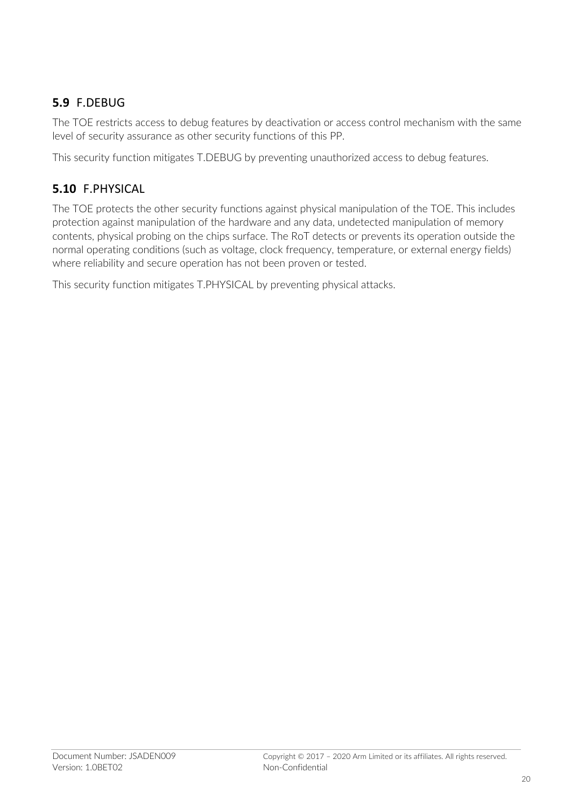## **5.9** F.DEBUG

The TOE restricts access to debug features by deactivation or access control mechanism with the same level of security assurance as other security functions of this PP.

This security function mitigates T.DEBUG by preventing unauthorized access to debug features.

## **5.10** F.PHYSICAL

The TOE protects the other security functions against physical manipulation of the TOE. This includes protection against manipulation of the hardware and any data, undetected manipulation of memory contents, physical probing on the chips surface. The RoT detects or prevents its operation outside the normal operating conditions (such as voltage, clock frequency, temperature, or external energy fields) where reliability and secure operation has not been proven or tested.

This security function mitigates T.PHYSICAL by preventing physical attacks.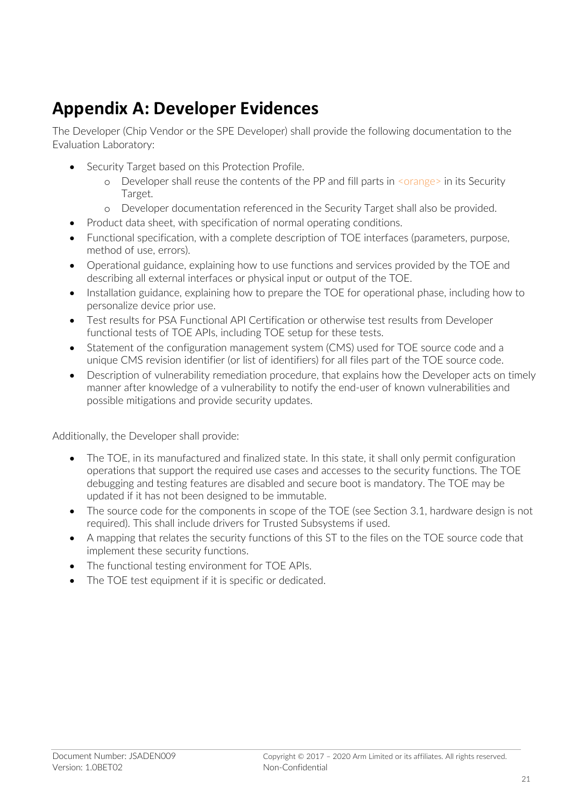## **Appendix A: Developer Evidences**

The Developer (Chip Vendor or the SPE Developer) shall provide the following documentation to the Evaluation Laboratory:

- Security Target based on this Protection Profile.
	- o Developer shall reuse the contents of the PP and fill parts in <orange> in its Security Target.
	- o Developer documentation referenced in the Security Target shall also be provided.
- Product data sheet, with specification of normal operating conditions.
- Functional specification, with a complete description of TOE interfaces (parameters, purpose, method of use, errors).
- Operational guidance, explaining how to use functions and services provided by the TOE and describing all external interfaces or physical input or output of the TOE.
- Installation guidance, explaining how to prepare the TOE for operational phase, including how to personalize device prior use.
- Test results for PSA Functional API Certification or otherwise test results from Developer functional tests of TOE APIs, including TOE setup for these tests.
- Statement of the configuration management system (CMS) used for TOE source code and a unique CMS revision identifier (or list of identifiers) for all files part of the TOE source code.
- Description of vulnerability remediation procedure, that explains how the Developer acts on timely manner after knowledge of a vulnerability to notify the end-user of known vulnerabilities and possible mitigations and provide security updates.

Additionally, the Developer shall provide:

- The TOE, in its manufactured and finalized state. In this state, it shall only permit configuration operations that support the required use cases and accesses to the security functions. The TOE debugging and testing features are disabled and secure boot is mandatory. The TOE may be updated if it has not been designed to be immutable.
- The source code for the components in scope of the TOE (see Section 3.1, hardware design is not required). This shall include drivers for Trusted Subsystems if used.
- A mapping that relates the security functions of this ST to the files on the TOE source code that implement these security functions.
- The functional testing environment for TOE APIs.
- The TOE test equipment if it is specific or dedicated.